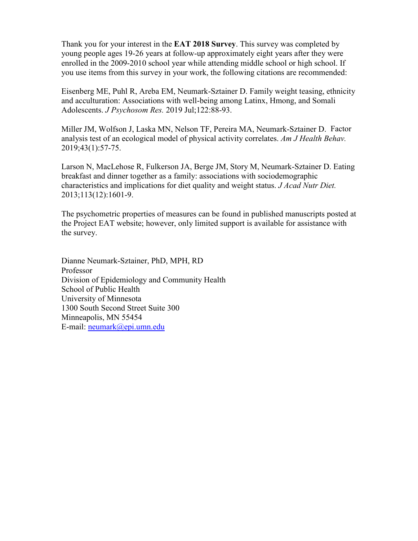Thank you for your interest in the **EAT 2018 Survey**. This survey was completed by young people ages 19-26 years at follow-up approximately eight years after they were enrolled in the 2009-2010 school year while attending middle school or high school. If you use items from this survey in your work, the following citations are recommended:

[Eisenberg ME,](https://www.ncbi.nlm.nih.gov/pubmed/?term=Eisenberg%20ME%5BAuthor%5D&cauthor=true&cauthor_uid=31029452) [Puhl R,](https://www.ncbi.nlm.nih.gov/pubmed/?term=Puhl%20R%5BAuthor%5D&cauthor=true&cauthor_uid=31029452) [Areba EM,](https://www.ncbi.nlm.nih.gov/pubmed/?term=Areba%20EM%5BAuthor%5D&cauthor=true&cauthor_uid=31029452) [Neumark-Sztainer](https://www.ncbi.nlm.nih.gov/pubmed/?term=Neumark-Sztainer%20D%5BAuthor%5D&cauthor=true&cauthor_uid=31029452) D. Family weight teasing, ethnicity and acculturation: Associations with well-being among Latinx, Hmong, and Somali Adolescents. *[J Psychosom Res.](https://www.ncbi.nlm.nih.gov/pubmed/31029452)* 2019 Jul;122:88-93.

[Miller JM,](https://www.ncbi.nlm.nih.gov/pubmed/?term=Miller%20JM%5BAuthor%5D&cauthor=true&cauthor_uid=30522567) [Wolfson J,](https://www.ncbi.nlm.nih.gov/pubmed/?term=Wolfson%20J%5BAuthor%5D&cauthor=true&cauthor_uid=30522567) [Laska MN,](https://www.ncbi.nlm.nih.gov/pubmed/?term=Laska%20MN%5BAuthor%5D&cauthor=true&cauthor_uid=30522567) [Nelson TF,](https://www.ncbi.nlm.nih.gov/pubmed/?term=Nelson%20TF%5BAuthor%5D&cauthor=true&cauthor_uid=30522567) [Pereira MA,](https://www.ncbi.nlm.nih.gov/pubmed/?term=Pereira%20MA%5BAuthor%5D&cauthor=true&cauthor_uid=30522567) [Neumark-Sztainer](https://www.ncbi.nlm.nih.gov/pubmed/?term=Neumark-Sztainer%20D%5BAuthor%5D&cauthor=true&cauthor_uid=30522567) D. Factor analysis test of an ecological model of physical activity correlates. *[Am J Health Behav.](https://www.ncbi.nlm.nih.gov/pubmed/30522567)* 2019;43(1):57-75.

[Larson](https://www.ncbi.nlm.nih.gov/pubmed/?term=Larson%20N%5BAuthor%5D&cauthor=true&cauthor_uid=24139290) N, [MacLehose R,](https://www.ncbi.nlm.nih.gov/pubmed/?term=MacLehose%20R%5BAuthor%5D&cauthor=true&cauthor_uid=24139290) [Fulkerson JA,](https://www.ncbi.nlm.nih.gov/pubmed/?term=Fulkerson%20JA%5BAuthor%5D&cauthor=true&cauthor_uid=24139290) [Berge JM,](https://www.ncbi.nlm.nih.gov/pubmed/?term=Berge%20JM%5BAuthor%5D&cauthor=true&cauthor_uid=24139290) [Story M,](https://www.ncbi.nlm.nih.gov/pubmed/?term=Story%20M%5BAuthor%5D&cauthor=true&cauthor_uid=24139290) [Neumark-Sztainer](https://www.ncbi.nlm.nih.gov/pubmed/?term=Neumark-Sztainer%20D%5BAuthor%5D&cauthor=true&cauthor_uid=24139290) D. Eating breakfast and dinner together as a family: associations with sociodemographic characteristics and implications for diet quality and weight status. *[J Acad Nutr Diet.](https://www.ncbi.nlm.nih.gov/pubmed/24139290)* 2013;113(12):1601-9.

The psychometric properties of measures can be found in published manuscripts posted at the Project EAT website; however, only limited support is available for assistance with the survey.

Dianne Neumark-Sztainer, PhD, MPH, RD Professor Division of Epidemiology and Community Health School of Public Health University of Minnesota 1300 South Second Street Suite 300 Minneapolis, MN 55454 E-mail: [neumark@epi.umn.edu](mailto:neumark@epi.umn.edu)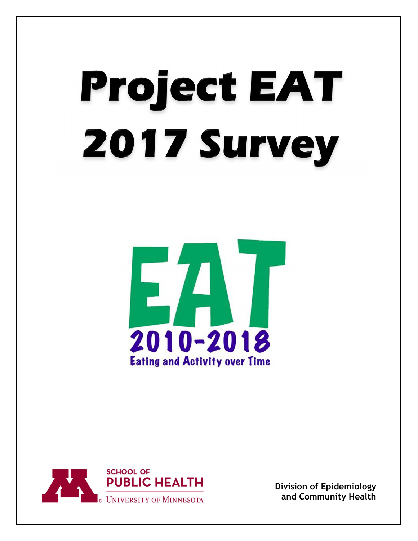# **Project EAT** 2017 Survey





**Division of Epidemiology and Community Health**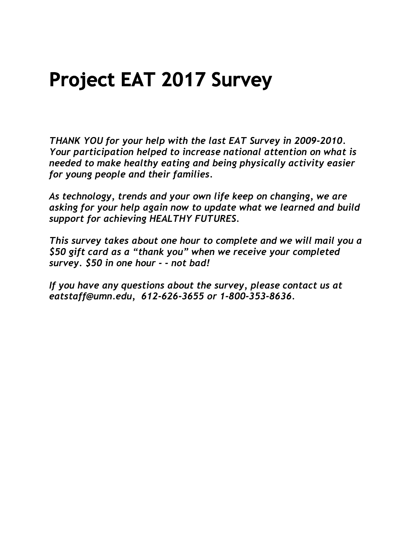## **Project EAT 2017 Survey**

*THANK YOU for your help with the last EAT Survey in 2009-2010. Your participation helped to increase national attention on what is needed to make healthy eating and being physically activity easier for young people and their families.*

*As technology, trends and your own life keep on changing, we are asking for your help again now to update what we learned and build support for achieving HEALTHY FUTURES.* 

*This survey takes about one hour to complete and we will mail you a \$50 gift card as a "thank you" when we receive your completed survey. \$50 in one hour - - not bad!*

*If you have any questions about the survey, please contact us at eatstaff@umn.edu, 612-626-3655 or 1-800-353-8636.*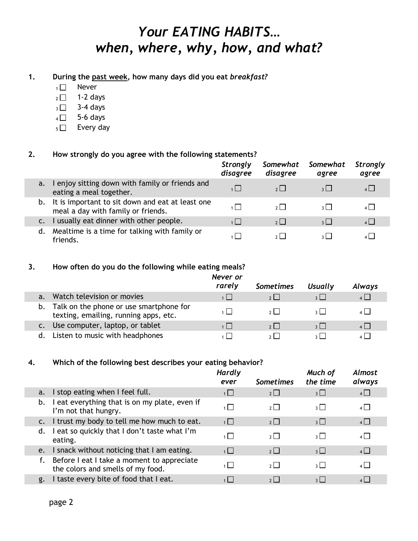## *Your EATING HABITS… when, where, why, how, and what?*

#### **1. During the past week, how many days did you eat** *breakfast?*

- $1 \Box$  Never
- $_2$  1 -2 days
- $3 3 4$  days
- $4 \Box$  5-6 days
- $5 \Box$  Every day

#### **2. How strongly do you agree with the following statements?**

|    |                                                                                        | <b>Strongly</b><br>disagree | Somewhat<br>disagree | Somewhat<br>agree | <b>Strongly</b><br>agree |
|----|----------------------------------------------------------------------------------------|-----------------------------|----------------------|-------------------|--------------------------|
| a. | I enjoy sitting down with family or friends and<br>eating a meal together.             |                             | $2 \mid$             | 31                | $4$                      |
| b. | It is important to sit down and eat at least one<br>meal a day with family or friends. | $1 \mid$                    | 2                    | 311               | 4 I I                    |
|    | I usually eat dinner with other people.                                                |                             | 2                    | $3 \mid$          | 4                        |
| d. | Mealtime is a time for talking with family or<br>friends.                              |                             | 2 <sup>1</sup>       |                   |                          |

#### **3. How often do you do the following while eating meals?**

|             |                                                                                  | Never or<br>rarely | <b>Sometimes</b> | <b>Usually</b>          | Always          |
|-------------|----------------------------------------------------------------------------------|--------------------|------------------|-------------------------|-----------------|
| $a_{\cdot}$ | Watch television or movies                                                       | 1   I              | 2                |                         | $\vert$ $\vert$ |
| b.          | Talk on the phone or use smartphone for<br>texting, emailing, running apps, etc. |                    | 2 <sup>1</sup>   |                         |                 |
|             | c. Use computer, laptop, or tablet                                               |                    | 2                | $\overline{\mathbf{3}}$ |                 |
| d.          | Listen to music with headphones                                                  |                    |                  |                         |                 |

#### **4. Which of the following best describes your eating behavior?**

|    |                                                                                 | <b>Hardly</b><br>ever | <b>Sometimes</b> | Much of<br>the time     | <b>Almost</b><br>always |
|----|---------------------------------------------------------------------------------|-----------------------|------------------|-------------------------|-------------------------|
| a. | I stop eating when I feel full.                                                 | 1                     | $2\Box$          | 3 <sup>1</sup>          | $4\Box$                 |
| b. | I eat everything that is on my plate, even if<br>I'm not that hungry.           |                       | $\overline{2}$   | $\overline{\mathbf{3}}$ | $4\Box$                 |
|    | c. I trust my body to tell me how much to eat.                                  | $\overline{1}$        | $2\Box$          | 3 <sup>1</sup>          | $4\Box$                 |
| d. | I eat so quickly that I don't taste what I'm<br>eating.                         | 1   I                 | $2\Box$          | $3 \mid$                | $4\Box$                 |
| e. | I snack without noticing that I am eating.                                      | $1\Box$               | $2\Box$          | 3                       | $4\Box$                 |
|    | Before I eat I take a moment to appreciate<br>the colors and smells of my food. |                       | $\overline{2}$   | $\overline{\mathbf{3}}$ | $4\Box$                 |
| g. | I taste every bite of food that I eat.                                          |                       |                  | $\frac{1}{3}$           |                         |

ı

ı

ı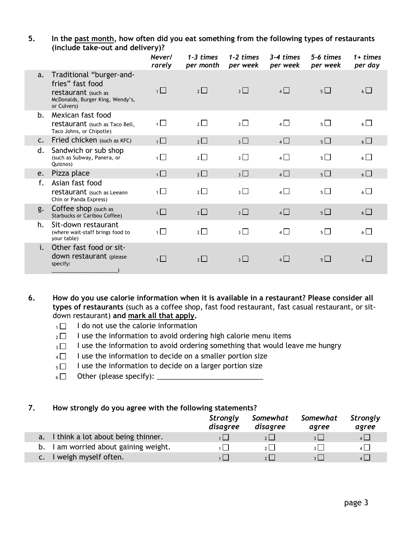#### **5. In the past month, how often did you eat something from the following types of restaurants (include take-out and delivery)?**

|                |                                                                                                                        | Never/<br>rarely | $1 - 3$ times<br>per month | 1-2 times<br>per week | 3-4 times<br>per week | 5-6 times<br>per week | $1+ times$<br>per day |
|----------------|------------------------------------------------------------------------------------------------------------------------|------------------|----------------------------|-----------------------|-----------------------|-----------------------|-----------------------|
| a.             | Traditional "burger-and-<br>fries" fast food<br>restaurant (such as<br>McDonalds, Burger King, Wendy's,<br>or Culvers) | $1\Box$          | $2\Box$                    | $3\Box$               | $4\Box$               | $5\Box$               | $6 \Box$              |
| b.             | Mexican fast food<br>restaurant (such as Taco Bell,<br>Taco Johns, or Chipotle)                                        | $\overline{1}$   | $2\Box$                    | $_3$ $\square$        | $4\Box$               | $5\Box$               | $6\Box$               |
| $\mathsf{C}$ . | Fried chicken (such as KFC)                                                                                            | $\overline{1}$   | $2\Box$                    | $3\Box$               | 4                     | $5\Box$               | $6 \Box$              |
| d.             | Sandwich or sub shop<br>(such as Subway, Panera, or<br>Quiznos)                                                        | $\overline{1}$   | $2\Box$                    | $3\Box$               | $4\Box$               | $5\Box$               | $6\Box$               |
| e.             | Pizza place                                                                                                            | $\overline{1}$   | $2\Box$                    | $3\Box$               | $4\Box$               | $5\Box$               | $6\Box$               |
| f.             | Asian fast food<br>restaurant (such as Leeann<br>Chin or Panda Express)                                                | $\overline{1}$   | $2\Box$                    | $_3$ $\Box$           | $\overline{4}$        | $5\Box$               | $6\Box$               |
| g.             | Coffee shop (such as<br><b>Starbucks or Caribou Coffee)</b>                                                            | $1\Box$          | $2\Box$                    | $3\Box$               | $4\Box$               | $5\Box$               | $6\Box$               |
| h.             | Sit-down restaurant<br>(where wait-staff brings food to<br>your table)                                                 | $1\Box$          | $2\Box$                    | $\overline{3}$        | $4\Box$               | 5 <sup>1</sup>        | $6\Box$               |
| i.             | Other fast food or sit-<br>down restaurant (please<br>specify:                                                         | $1\Box$          | $2\Box$                    | 3                     | 4                     | $5^{\circ}$           | $6 \mid$              |

**6. How do you use calorie information when it is available in a restaurant? Please consider all types of restaurants** (such as a coffee shop, fast food restaurant, fast casual restaurant, or sitdown restaurant) **and mark all that apply.**

- $1 \Box$  I do not use the calorie information
- $_2 \Box$  I use the information to avoid ordering high calorie menu items
- $_3 \Box$  I use the information to avoid ordering something that would leave me hungry
- $4 \Box$  I use the information to decide on a smaller portion size
- $5 \Box$  I use the information to decide on a larger portion size
- $6 \Box$  Other (please specify):

#### **7. How strongly do you agree with the following statements?**

|                                       | Strongly<br>disagree | Somewhat<br>disagree | Somewhat<br>agree       | <b>Strongly</b><br>agree |
|---------------------------------------|----------------------|----------------------|-------------------------|--------------------------|
| a. I think a lot about being thinner. |                      | $2$                  | $3 \mid$                | $\mathbf{4}$             |
| b. I am worried about gaining weight. |                      | 2 <sup>1</sup>       | $2$                     | 4 L                      |
| I weigh myself often.                 |                      | 2 <sup>1</sup>       | $\overline{\mathbf{3}}$ |                          |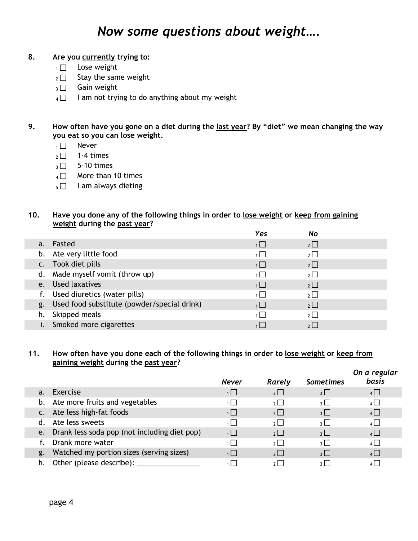## *Now some questions about weight….*

- **8. Are you currently trying to:** 
	- $1 \Box$  Lose weight
	- $_2 \square$  Stay the same weight
	- $_3\Box$  Gain weight
	- $4 \Box$  I am not trying to do anything about my weight

**9. How often have you gone on a diet during the last year? By "diet" we mean changing the way you eat so you can lose weight.** 

- $1 \Box$  Never
- $2 \square$  1-4 times
- $_3$   $\Box$  5-10 times
- $4 \Box$  More than 10 times
- $_5\square$  I am always dieting

#### **10. Have you done any of the following things in order to lose weight or keep from gaining weight during the past year?**

|                                                | Yes            | No             |
|------------------------------------------------|----------------|----------------|
| a. Fasted                                      | 1              | 2              |
| b. Ate very little food                        | $1 \mid$       | 2 <sup>1</sup> |
| c. Took diet pills                             | 1              | 2              |
| d. Made myself vomit (throw up)                | $\overline{1}$ | 2 <sup>1</sup> |
| e. Used laxatives                              | $\overline{1}$ | $2\vert$       |
| f. Used diuretics (water pills)                | $1 \mid$       | 2 <sup>1</sup> |
| g. Used food substitute (powder/special drink) | 1              | 2              |
| Skipped meals                                  | 1 I            | 2 <sup>1</sup> |
| i. Smoked more cigarettes                      |                |                |

#### **11. How often have you done each of the following things in order to lose weight or keep from gaining weight during the past year?**

|    |                                                 | <b>Never</b>   | Rarely         | Sometimes                | On a regular<br>basis |
|----|-------------------------------------------------|----------------|----------------|--------------------------|-----------------------|
|    | a. Exercise                                     | $\overline{1}$ | $2\Box$        | $\overline{\mathcal{E}}$ | 4                     |
|    | b. Ate more fruits and vegetables               |                | 2              | $\mathbf{R}$             | $\overline{4}$        |
|    | c. Ate less high-fat foods                      | 1              | $2\Box$        | $\overline{\mathcal{E}}$ | $4\Box$               |
|    | Ate less sweets                                 | 1              | 2              | $3 \mid$                 | $4\Box$               |
|    | e. Drank less soda pop (not including diet pop) | $\overline{1}$ | $2\Box$        | $3\Box$                  | $4\Box$               |
|    | Drank more water                                |                | $2\Box$        | $\overline{\mathcal{E}}$ | $\overline{4}$        |
| g. | Watched my portion sizes (serving sizes)        |                | $\overline{2}$ | $\overline{\mathcal{E}}$ | $4\Box$               |
| h. | Other (please describe): _________              |                | 2              | $2 \mid$                 |                       |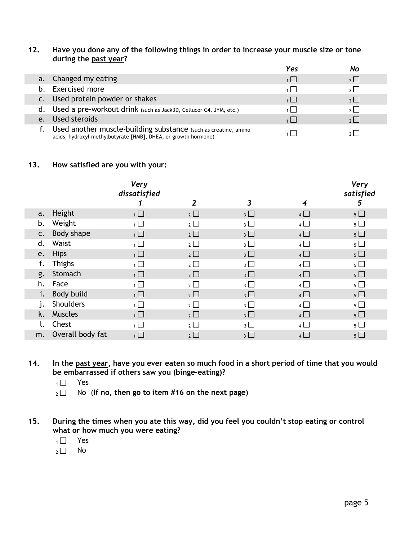#### **12. Have you done any of the following things in order to increase your muscle size or tone during the past year?**

|    |                                                                                                                                   | Yes | Nο             |
|----|-----------------------------------------------------------------------------------------------------------------------------------|-----|----------------|
| a. | Changed my eating                                                                                                                 | 1   | 2              |
|    | <b>Exercised more</b>                                                                                                             |     | 2 <sup>1</sup> |
|    | Used protein powder or shakes                                                                                                     | 1   | 2              |
|    | d. Used a pre-workout drink (such as Jack3D, Cellucor C4, JYM, etc.)                                                              |     | 2 <sup>1</sup> |
| e. | Used steroids                                                                                                                     | 1 L | 2 <sup>1</sup> |
|    | Used another muscle-building substance (such as creatine, amino<br>acids, hydroxyl methylbutyrate [HMB], DHEA, or growth hormone) |     |                |

#### **13. How satisfied are you with your:**

|    |                  | <b>Very</b><br>dissatisfied | 2              | 3              | 4              | <b>Very</b><br>satisfied<br>5 |
|----|------------------|-----------------------------|----------------|----------------|----------------|-------------------------------|
| a. | Height           | $1 \Box$                    | $2\Box$        | $3\Box$        | $4\Box$        | $5\Box$                       |
| b. | Weight           | $1 \mid$                    | $2 \Box$       | $3$ $\Box$     | $4 \Box$       | $5\Box$                       |
| c. | Body shape       | $1 \Box$                    | $2\Box$        | $3\Box$        | 4              | $5\Box$                       |
| d. | Waist            | $1 \mid$                    | $2\Box$        | $_3$ $\square$ | $\overline{4}$ | $5\Box$                       |
| e. | <b>Hips</b>      | $1$ $\Box$                  | $2\Box$        | 3 <sup>1</sup> | 4              | $5 \Box$                      |
| f. | <b>Thighs</b>    | $1 \mid$                    | $2$ $\Box$     | $3\Box$        | $4 \Box$       | $5\Box$                       |
| g. | Stomach          | $1 \Box$                    | $2\Box$        | $3\Box$        | $4\Box$        | $5 \Box$                      |
| h. | Face             | $1 \mid$                    | $2\Box$        | $3\Box$        | $4 \Box$       | $5\Box$                       |
| i. | Body build       | 1 <sup>1</sup>              | $2\Box$        | $3\Box$        | $4 \Box$       | $5\Box$                       |
| j. | Shoulders        | $1$ $\vert$                 | $2\Box$        | $3\Box$        | $\overline{4}$ | $5\Box$                       |
| k. | <b>Muscles</b>   | $1 \Box$                    | $2\Box$        | $3\Box$        | 4              | 5 <sub>1</sub>                |
| ι. | Chest            | $1 \mid$                    | $2$ $\Box$     | $\overline{3}$ | $4 \Box$       | $5 \Box$                      |
| m. | Overall body fat |                             | 2 <sub>2</sub> | $3 \Box$       | $4 \Box$       | $5 \Box$                      |

- **14. In the past year, have you ever eaten so much food in a short period of time that you would be embarrassed if others saw you (binge-eating)?** 
	- $1 \square$  Yes

- <sup>2</sup> No (**If no, then go to item #16 on the next page)**
- **15. During the times when you ate this way, did you feel you couldn't stop eating or control what or how much you were eating?** 
	- $1 \square$  Yes
	- $_2 \Box$  No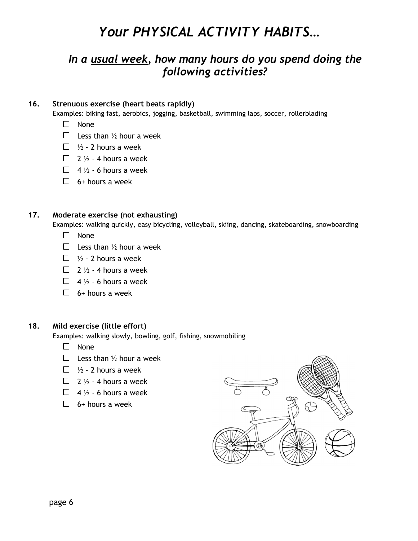## *Your PHYSICAL ACTIVITY HABITS…*

## *In a usual week, how many hours do you spend doing the following activities?*

#### **16. Strenuous exercise (heart beats rapidly)**

Examples: biking fast, aerobics, jogging, basketball, swimming laps, soccer, rollerblading

- □ None
- $\Box$  Less than 1/2 hour a week
- $\Box$  1/2 2 hours a week
- $\Box$  2  $\frac{1}{2}$  4 hours a week
- $\Box$  4  $\frac{1}{2}$  6 hours a week
- $\Box$  6+ hours a week

#### **17. Moderate exercise (not exhausting)**

Examples: walking quickly, easy bicycling, volleyball, skiing, dancing, skateboarding, snowboarding

- □ None
- $\Box$  Less than 1/2 hour a week
- $\Box$  1/2 2 hours a week
- $\Box$  2  $\frac{1}{2}$  4 hours a week
- $\Box$  4  $\frac{1}{2}$  6 hours a week
- $\Box$  6+ hours a week

#### **18. Mild exercise (little effort)**

Examples: walking slowly, bowling, golf, fishing, snowmobiling

- □ None
- $\Box$  Less than 1/2 hour a week
- $\Box$  1/3 2 hours a week
- $\Box$  2  $\frac{1}{2}$  4 hours a week
- $\Box$  4  $\frac{1}{2}$  6 hours a week
- $\Box$  6+ hours a week

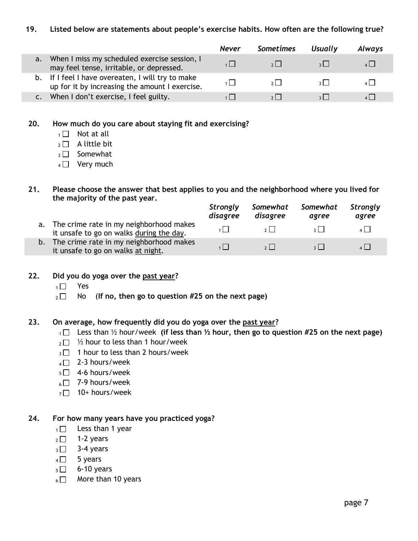#### **19. Listed below are statements about people's exercise habits. How often are the following true?**

|    |                                                                                                     | <b>Never</b> | <b>Sometimes</b> | <b>Usually</b> | Always |
|----|-----------------------------------------------------------------------------------------------------|--------------|------------------|----------------|--------|
| a. | When I miss my scheduled exercise session, I<br>may feel tense, irritable, or depressed.            |              |                  |                |        |
|    | b. If I feel I have overeaten, I will try to make<br>up for it by increasing the amount I exercise. |              | 2 <sup>1</sup>   |                |        |
|    | When I don't exercise, I feel guilty.                                                               |              |                  |                |        |

#### **20. How much do you care about staying fit and exercising?**

- $1 \square$  Not at all
- $2 \square$  A little bit
- $_3\Box$  Somewhat
- $4 \Box$  Very much
- **21. Please choose the answer that best applies to you and the neighborhood where you lived for the majority of the past year.**

|             |                                                                                        | <b>Strongly</b><br>disagree | Somewhat<br>disagree | Somewhat<br>agree | <b>Strongly</b><br>agree |
|-------------|----------------------------------------------------------------------------------------|-----------------------------|----------------------|-------------------|--------------------------|
|             | a. The crime rate in my neighborhood makes<br>it unsafe to go on walks during the day. |                             | $2 \mid$             |                   |                          |
| $b_{\cdot}$ | The crime rate in my neighborhood makes<br>it unsafe to go on walks at night.          |                             | 2 <sup>1</sup>       |                   |                          |

#### **22. Did you do yoga over the past year?**

- $1 \square$  Yes
- <sup>2</sup> No (**If no, then go to question #25 on the next page)**

#### **23. On average, how frequently did you do yoga over the past year?**

- <sup>1</sup> Less than ½ hour/week **(if less than ½ hour, then go to question #25 on the next page)**
- $2 \Box$  % hour to less than 1 hour/week
- $3 \Box$  1 hour to less than 2 hours/week
- $4 \Box$  2-3 hours/week
- $5 \Box$  4-6 hours/week
- $6 \Box$  7-9 hours/week
- $7 \square$  10+ hours/week

#### **24. For how many years have you practiced yoga?**

- $1 \Box$  Less than 1 year
- $_2 \square$  1-2 years
- $3 3 4$  years
- $4 \Box$  5 years
- $5 \Box$  6-10 years
- $6 \Box$  More than 10 years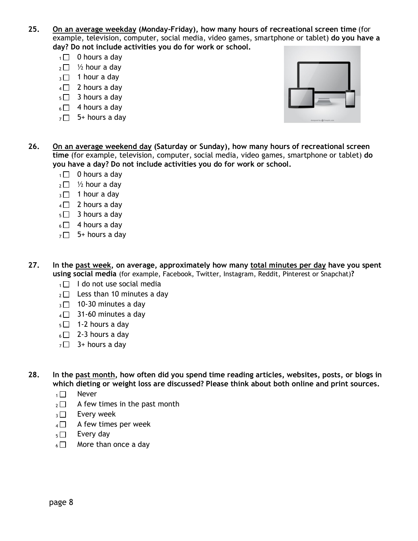- **25. On an average weekday (Monday-Friday), how many hours of recreational screen time** (for example, television, computer, social media, video games, smartphone or tablet) **do you have a day? Do not include activities you do for work or school.** 
	- $1 \square$  0 hours a day
	- $_2 \Box$  1/2 hour a day
	- $_3$  1 hour a day
	- $4 \Box$  2 hours a day
	- $5 \square$  3 hours a day
	- $6 \square$  4 hours a day
	- $7 \square$  5+ hours a day



- **26. On an average weekend day (Saturday or Sunday), how many hours of recreational screen time** (for example, television, computer, social media, video games, smartphone or tablet) **do you have a day? Do not include activities you do for work or school.** 
	- $1 \square$  0 hours a day
	- $2 \Box$  1/2 hour a day
	- $_3$  1 hour a day
	- $4 \Box$  2 hours a day
	- $5 \square$  3 hours a day
	- $6 \square$  4 hours a day
	- $7 \square$  5+ hours a day
- **27. In the past week, on average, approximately how many total minutes per day have you spent using social media** (for example, Facebook, Twitter, Instagram, Reddit, Pinterest or Snapchat)**?** 
	- $1 \Box$  I do not use social media
	- $2 \cap$  Less than 10 minutes a day
	- $_3$  10-30 minutes a day
	- $_4$  31-60 minutes a day
	- $5 \Box$  1-2 hours a day
	- $6 \square$  2-3 hours a day
	- $7 \square$  3+ hours a day
- **28. In the past month, how often did you spend time reading articles, websites, posts, or blogs in which dieting or weight loss are discussed? Please think about both online and print sources.** 
	- $1 \square$  Never
	- $_2 \square$  A few times in the past month
	- $_3\Box$  Every week
	- $4 \Box$  A few times per week
	- $5 \Box$  Every day
	- $6 \Box$  More than once a day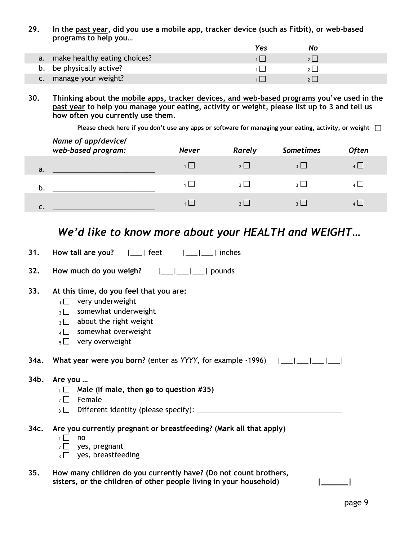**29. In the past year, did you use a mobile app, tracker device (such as Fitbit), or web-based programs to help you…** 

|                                 | Yes | NO |  |
|---------------------------------|-----|----|--|
| a. make healthy eating choices? |     |    |  |
| b. be physically active?        |     |    |  |
| c. manage your weight?          |     |    |  |

**30. Thinking about the mobile apps, tracker devices, and web-based programs you've used in the past year to help you manage your eating, activity or weight, please list up to 3 and tell us how often you currently use them.** 

**Please check here if you don't use any apps or software for managing your eating, activity, or weight** 

| Name of app/device/<br>web-based program: | <b>Never</b> | Rarely         | <b>Sometimes</b> | <b>Often</b>            |
|-------------------------------------------|--------------|----------------|------------------|-------------------------|
| a.                                        | $1 \mid$     | 2              |                  | $\vert$ $\vert$ $\vert$ |
| b.                                        |              | 2 <sup>1</sup> | $\sim$ 1         | $\overline{A}$          |
|                                           | $1 \mid$     | 2              |                  |                         |

## *We'd like to know more about your HEALTH and WEIGHT…*

| 31. | How tall are you? | $ $   feet | $ $ <sub>___</sub> $ $ <sub>___</sub> $ $ inches |
|-----|-------------------|------------|--------------------------------------------------|
|-----|-------------------|------------|--------------------------------------------------|

**32. How much do you weigh?** |\_\_\_|\_\_\_|\_\_\_| pounds

#### **33. At this time, do you feel that you are:**

- $1 \Box$  very underweight
- $2 \Box$  somewhat underweight
- $_3 \square$  about the right weight
- $4 \Box$  somewhat overweight
- $5 \Box$  very overweight

**34a. What year were you born?** (enter as *YYYY*, for example -1996)  $|\underline{\hspace{1cm}}||\underline{\hspace{1cm}}||\underline{\hspace{1cm}}||\underline{\hspace{1cm}}||\underline{\hspace{1cm}}||\underline{\hspace{1cm}}||\underline{\hspace{1cm}}||\underline{\hspace{1cm}}||\underline{\hspace{1cm}}||\underline{\hspace{1cm}}||\underline{\hspace{1cm}}||\underline{\hspace{1cm}}||\underline{\hspace{1cm}}||\underline{\hspace{1cm}}||\underline{\hspace{1cm}}||$ 

#### **34b. Are you …**

- <sup>1</sup> Male **(If male, then go to question #35)**
- $_2 \square$  Female
- $_3 \Box$  Different identity (please specify):
- **34c. Are you currently pregnant or breastfeeding? (Mark all that apply)**
	- $1 \square$  no
	- $_2 \square$  yes, pregnant
	- $_3$   $\Box$  yes, breastfeeding
- **35. How many children do you currently have? (Do not count brothers,**  sisters, or the children of other people living in your household) and all the state of the state of the state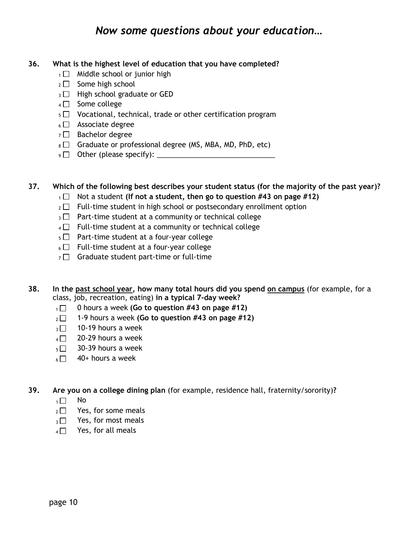## *Now some questions about your education…*

- **36. What is the highest level of education that you have completed?** 
	- $1 \Box$  Middle school or junior high
	- $2 \Box$  Some high school
	- $3 \Box$  High school graduate or GED
	- $4 \Box$  Some college
	- $5 \Box$  Vocational, technical, trade or other certification program
	- $6 \Box$  Associate degree
	- $7 \square$  Bachelor degree
	- $8 \Box$  Graduate or professional degree (MS, MBA, MD, PhD, etc)
	- $9 \Box$  Other (please specify):

#### **37. Which of the following best describes your student status (for the majority of the past year)?**

- <sup>1</sup> Not a student **(If not a student, then go to question #43 on page #12)**
- $_2 \square$  Full-time student in high school or postsecondary enrollment option
- $_3$  Part-time student at a community or technical college
- $4 \Box$  Full-time student at a community or technical college
- $5 \Box$  Part-time student at a four-year college
- $6 \Box$  Full-time student at a four-year college
- $7 \Box$  Graduate student part-time or full-time
- **38. In the past school year, how many total hours did you spend on campus** (for example, for a class, job, recreation, eating) **in a typical 7-day week?** 
	- <sup>1</sup>0 hours a week **(Go to question #43 on page #12)**
	- <sup>2</sup>1-9 hours a week **(Go to question #43 on page #12)**
	- $3\Box$  10-19 hours a week
	- $4 \Box$  20-29 hours a week
	- $5\Box$  30-39 hours a week
	- $6 \Box$  40+ hours a week
- **39. Are you on a college dining plan** (for example, residence hall, fraternity/sorority)**?** 
	- $1\Box$  No
	- $2\Box$  Yes, for some meals
	- $_3\Box$  Yes, for most meals
	- $4 \Box$  Yes, for all meals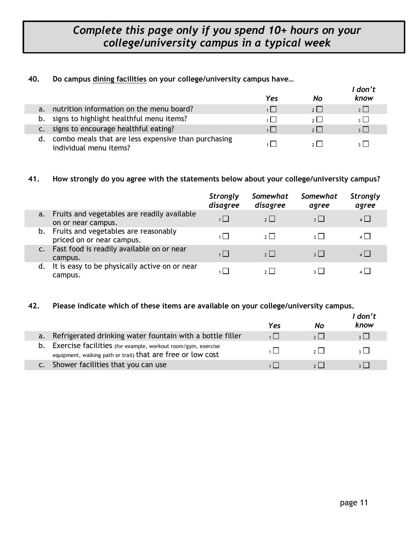## *Complete this page only if you spend 10+ hours on your college/university campus in a typical week*

#### **40. Do campus dining facilities on your college/university campus have…**

|    |                                                                               | Yes      | No                               | don't<br>know            |
|----|-------------------------------------------------------------------------------|----------|----------------------------------|--------------------------|
| a. | nutrition information on the menu board?                                      | 1        | $2\Box$                          | 3 <sup>1</sup>           |
| b. | signs to highlight healthful menu items?                                      | $1 \mid$ | $\overline{2}$ $\overline{\Box}$ | $\overline{\mathcal{E}}$ |
|    | signs to encourage healthful eating?                                          | 1        | 2                                | $\overline{\mathcal{E}}$ |
| d. | combo meals that are less expensive than purchasing<br>individual menu items? |          | $\sim$ 1 $\sim$ 1                | $\sim$ 1                 |

#### **41. How strongly do you agree with the statements below about your college/university campus?**

|                |                                                                   | <b>Strongly</b><br>disagree | Somewhat<br>disagree | Somewhat<br>agree | <b>Strongly</b><br>agree |
|----------------|-------------------------------------------------------------------|-----------------------------|----------------------|-------------------|--------------------------|
| a.             | Fruits and vegetables are readily available<br>on or near campus. | 1                           | 2                    | $3 \mid$          | $4$                      |
| b.             | Fruits and vegetables are reasonably<br>priced on or near campus. | 1                           | $2 \mid$             | $3 \mid$          | $4 \mid$                 |
| $\mathsf{C}$ . | Fast food is readily available on or near<br>campus.              | 1                           | 2                    | $3 \mid$          | $\vert$ $\vert$          |
| d.             | It is easy to be physically active on or near<br>campus.          |                             | 2 <sup>1</sup>       | $3 \mid$          |                          |

#### **42. Please indicate which of these items are available on your college/university campus.**

|                                                                                                                                   | Yes | No | don't<br>know |
|-----------------------------------------------------------------------------------------------------------------------------------|-----|----|---------------|
| Refrigerated drinking water fountain with a bottle filler<br>a.                                                                   |     |    |               |
| Exercise facilities (for example, workout room/gym, exercise<br>b.<br>equipment, walking path or trail) that are free or low cost |     |    |               |
| Shower facilities that you can use                                                                                                |     |    |               |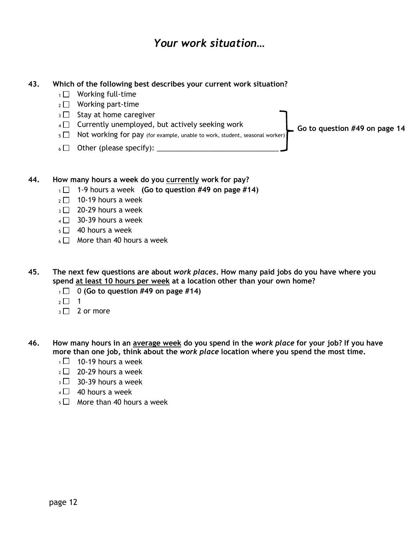## *Your work situation…*

#### **43. Which of the following best describes your current work situation?**

- $1 \square$  Working full-time
- $2 \Box$  Working part-time
- $3 \Box$  Stay at home caregiver
- $4 \Box$  Currently unemployed, but actively seeking work
- $_5$  Not working for pay (for example, unable to work, student, seasonal worker)

**Go to question #49 on page 14**

<sup>6</sup> Other (please specify): \_\_\_\_\_\_\_\_\_\_\_\_\_\_\_\_\_\_\_\_\_\_\_\_\_\_\_\_\_\_\_

#### **44. How many hours a week do you currently work for pay?**

- 1 1 1 <sup>1</sup> 1 − 9 hours a week **(Go to question #49 on page #14)**
- $2 \square$  10-19 hours a week
- $_3$   $\Box$  20-29 hours a week
- $4 \Box$  30-39 hours a week
- $5 \Box$  40 hours a week
- $6 \Box$  More than 40 hours a week
- **45. The next few questions are about** *work places***. How many paid jobs do you have where you spend at least 10 hours per week at a location other than your own home?** 
	- $1 \square$  0 **(Go to question #49** on page #14)
	- $2 \Box$  1
	- $3 \square$  2 or more
- **46. How many hours in an average week do you spend in the** *work place* **for your job? If you have more than one job, think about the** *work place* **location where you spend the most time.** 
	- $1 \Box$  10-19 hours a week
	- $2 \Box$  20-29 hours a week
	- $3 \square$  30-39 hours a week
	- $4 \Box$  40 hours a week
	- $5 \Box$  More than 40 hours a week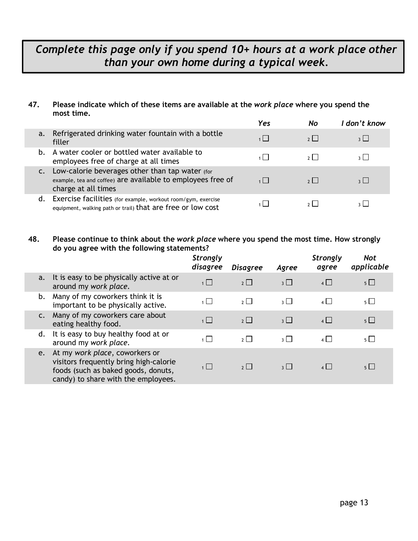## *Complete this page only if you spend 10+ hours at a work place other than your own home during a typical week.*

#### **47. Please indicate which of these items are available at the** *work place* **where you spend the most time.**

|                |                                                                                                                                       | Yes            | No | I don't know |
|----------------|---------------------------------------------------------------------------------------------------------------------------------------|----------------|----|--------------|
| a.             | Refrigerated drinking water fountain with a bottle<br>filler                                                                          | 1              | 2  |              |
| b.             | A water cooler or bottled water available to<br>employees free of charge at all times                                                 |                | 2  |              |
| $\mathsf{C}$ . | Low-calorie beverages other than tap water (for<br>example, tea and coffee) are available to employees free of<br>charge at all times | $\blacksquare$ | 2  |              |
| d.             | Exercise facilities (for example, workout room/gym, exercise<br>equipment, walking path or trail) that are free or low cost           |                |    |              |

#### **48. Please continue to think about the** *work place* **where you spend the most time. How strongly do you agree with the following statements?**

|    |                                                                                                                                                        | <b>Strongly</b><br>disagree | <b>Disagree</b> | Agree                    | <b>Strongly</b><br>agree | <b>Not</b><br>applicable |
|----|--------------------------------------------------------------------------------------------------------------------------------------------------------|-----------------------------|-----------------|--------------------------|--------------------------|--------------------------|
| a. | It is easy to be physically active at or<br>around my work place.                                                                                      | 1                           | $2\vert$        | $\overline{3}$           | 4                        | $5\Box$                  |
| b. | Many of my coworkers think it is<br>important to be physically active.                                                                                 | $1\Box$                     | $2 \Box$        | $3 \mid$                 | $4 \mid$                 | $5\Box$                  |
|    | Many of my coworkers care about<br>eating healthy food.                                                                                                | $1\Box$                     | $2\Box$         | $\overline{\mathcal{E}}$ | $4\Box$                  | $5\Box$                  |
| d. | It is easy to buy healthy food at or<br>around my work place.                                                                                          | $\overline{1}$              | $2\Box$         | $3 \mid$                 | $4$                      | $5\Box$                  |
| e. | At my work place, coworkers or<br>visitors frequently bring high-calorie<br>foods (such as baked goods, donuts,<br>candy) to share with the employees. | $\overline{1}$              | $2\Box$         | $3$ $\Box$               | $\overline{4}$           | $5\Box$                  |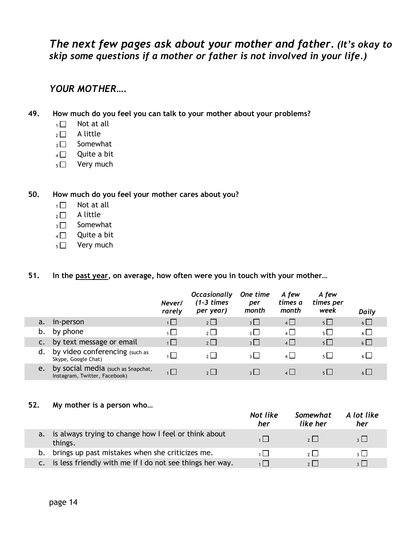## *The next few pages ask about your mother and father. (It's okay to skip some questions if a mother or father is not involved in your life.)*

#### *YOUR MOTHER….*

- **49. How much do you feel you can talk to your mother about your problems?** 
	- $1 \square$  Not at all
	- $_2 \square$  A little
	- $_3 \Box$  Somewhat
	- $4 \Box$  Quite a bit
	- $5 \Box$  Very much

#### **50. How much do you feel your mother cares about you?**

- $1 \square$  Not at all
- $2 \Box$  A little
- $_3\Box$  Somewhat
- $_4\Box$  Quite a bit
- $5 \Box$  Very much

#### **51. In the past year, on average, how often were you in touch with your mother…**

|    |                                                                     | Never/<br>rarely | <b>Occasionally</b><br>$(1-3 \times 1)$<br>per year) | One time<br>per<br>month | A few<br>times a<br>month      | A few<br>times per<br>week | <b>Daily</b>         |
|----|---------------------------------------------------------------------|------------------|------------------------------------------------------|--------------------------|--------------------------------|----------------------------|----------------------|
| a. | in-person                                                           | $1 \cup$         | $2 \Box$                                             | 311                      | $4 \Box$                       | $5 \mid$                   | $6\Box$              |
| b. | by phone                                                            | 1   I            | 2                                                    | 311                      | $4$   $\overline{\phantom{0}}$ | $5 \mid$                   | $6\Box$              |
|    | by text message or email                                            | $\overline{1}$   | 2                                                    | $3 \mid$                 | $4 \Box$                       | $5$                        | $6\Box$              |
|    | by video conferencing (such as<br>Skype, Google Chat)               | $\overline{1}$   | $2 \mid$                                             | 311                      | $4 \mid$                       | 511                        | $6$   $\overline{ }$ |
| e. | by social media (such as Snapchat,<br>Instagram, Twitter, Facebook) | $\overline{1}$   |                                                      |                          | $4$                            | 511                        | $6 \mid$             |

#### **52. My mother is a person who…**

|               |                                                          | Not like<br>her | Somewhat<br>like her | A lot like<br>her |  |
|---------------|----------------------------------------------------------|-----------------|----------------------|-------------------|--|
| a.<br>things. | is always trying to change how I feel or think about     | $1 \mid$        | 2                    | $\frac{1}{2}$     |  |
| b.            | brings up past mistakes when she criticizes me.          |                 | 2                    | 3 I I             |  |
|               | is less friendly with me if I do not see things her way. |                 |                      |                   |  |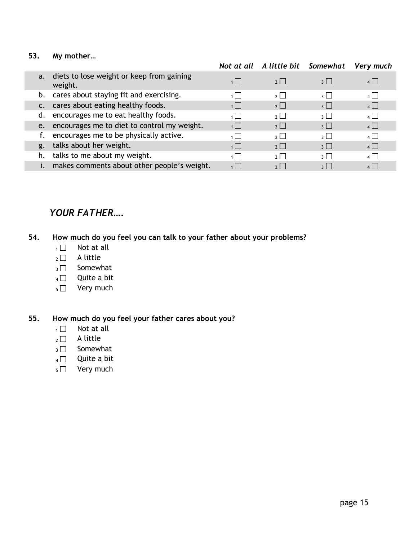#### **53. My mother…**

|    |                                                         |                | Not at all A little bit Somewhat |                          | Very much      |
|----|---------------------------------------------------------|----------------|----------------------------------|--------------------------|----------------|
|    | a. diets to lose weight or keep from gaining<br>weight. | 1              | 2                                | $3 \mid$                 | $4\Box$        |
|    | b. cares about staying fit and exercising.              | $1 \mid$       | 2                                | $\overline{\mathcal{E}}$ | $\overline{4}$ |
|    | c. cares about eating healthy foods.                    | 1              | 2                                | $\vert$ $\vert$          | $4\Box$        |
|    | d. encourages me to eat healthy foods.                  | $\overline{1}$ | $2 \mid$                         | $\overline{\mathcal{E}}$ | $\overline{4}$ |
|    | e. encourages me to diet to control my weight.          | 1              | 2                                | $3 \mid$                 | $4\Box$        |
|    | encourages me to be physically active.                  |                | $2 \mid$                         | $\overline{\mathcal{E}}$ | $\overline{A}$ |
| g. | talks about her weight.                                 | $\overline{1}$ | 2                                | $\overline{\mathcal{E}}$ | $\overline{A}$ |
| h. | talks to me about my weight.                            | $\Box$         | $2 \mid$                         | $\overline{\mathcal{E}}$ | $\overline{4}$ |
|    | makes comments about other people's weight.             | 1              |                                  | $\mathbf{R}$             | $\overline{A}$ |

## *YOUR FATHER….*

**54. How much do you feel you can talk to your father about your problems?** 

- $1 \Box$  Not at all
- $_2 \square$  A little
- $_3 \Box$  Somewhat
- $4 \Box$  Quite a bit
- $5 \Box$  Very much

**55. How much do you feel your father cares about you?** 

- $1 \Box$  Not at all
- $_2 \square$  A little
- $_3\Box$  Somewhat
- $4 \Box$  Quite a bit
- $5 \Box$  Very much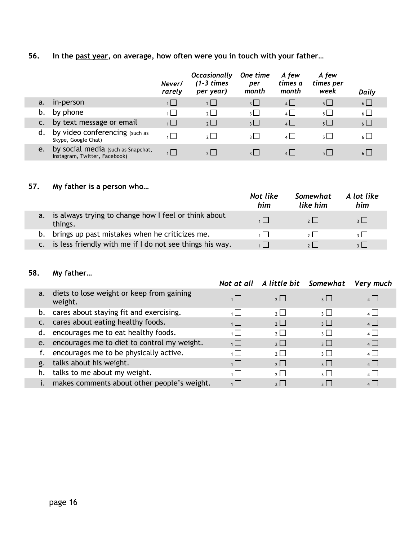#### **56. In the past year, on average, how often were you in touch with your father…**

|    |                                                                     | Never/<br>rarely | <b>Occasionally</b><br>$(1-3 \times 1)$<br>per year) | One time<br>per<br>month | A few<br>times a<br>month      | A few<br>times per<br>week | <b>Daily</b> |
|----|---------------------------------------------------------------------|------------------|------------------------------------------------------|--------------------------|--------------------------------|----------------------------|--------------|
| a. | in-person                                                           | 1                | $2 \Box$                                             | 3 <sup>1</sup>           | $4 \Box$                       | $5\Box$                    | $6\Box$      |
| b. | by phone                                                            | $\overline{1}$   | $2 \mid$                                             | $\overline{\mathcal{E}}$ | $4$                            | $5\Box$                    | $6\Box$      |
|    | by text message or email                                            | $\overline{1}$   | 2                                                    | $3\Box$                  | $4 \Box$                       | $5\Box$                    | $6\Box$      |
| d. | by video conferencing (such as<br>Skype, Google Chat)               | $\overline{1}$   | $2 \mid$                                             | $\frac{1}{2}$            | $4$   $\overline{\phantom{0}}$ | 5 I I                      | $6 \Box$     |
| e. | by social media (such as Snapchat,<br>Instagram, Twitter, Facebook) | $\overline{1}$   | 2                                                    |                          |                                | $5 \mid$                   | $6 \Box$     |

#### **57. My father is a person who…**

|                                                                 | Not like<br>him                                             | Somewhat<br>like him | A lot like<br>him |
|-----------------------------------------------------------------|-------------------------------------------------------------|----------------------|-------------------|
| is always trying to change how I feel or think about<br>things. | $\left  \cdot \right $                                      | 2                    | $3 \mid$          |
| brings up past mistakes when he criticizes me.                  |                                                             | 2                    | $\frac{1}{2}$     |
|                                                                 |                                                             | 2                    | $\frac{1}{2}$     |
|                                                                 | c. is less friendly with me if I do not see things his way. |                      |                   |

#### **58. My father…**

|    |                                                         |                | Not at all A little bit Somewhat |                          | Very much      |
|----|---------------------------------------------------------|----------------|----------------------------------|--------------------------|----------------|
|    | a. diets to lose weight or keep from gaining<br>weight. | 1              | 2                                | 3                        | 4              |
|    | b. cares about staying fit and exercising.              | 1 I            | $2 \mid$                         | $3 \mid$                 | $\overline{4}$ |
|    | c. cares about eating healthy foods.                    | 1              | 2                                | $\overline{\mathcal{E}}$ | $4\Box$        |
|    | d. encourages me to eat healthy foods.                  | $\overline{1}$ | $\overline{2}$ $\Box$            | $\overline{\mathcal{E}}$ | $4\Box$        |
|    | e. encourages me to diet to control my weight.          | $\overline{1}$ | 2                                | $\overline{\mathcal{E}}$ | $4\Box$        |
|    | encourages me to be physically active.                  | $\overline{1}$ | $2 \mid$                         | $\overline{\mathcal{E}}$ | $4\Box$        |
| g. | talks about his weight.                                 | 1              | 2                                | $\overline{\mathcal{E}}$ | $4\Box$        |
| h. | talks to me about my weight.                            | $1 \mid$       | $\overline{\phantom{a}}$         | $\overline{\mathcal{E}}$ | $\overline{4}$ |
|    | makes comments about other people's weight.             |                |                                  | 3                        | $\overline{A}$ |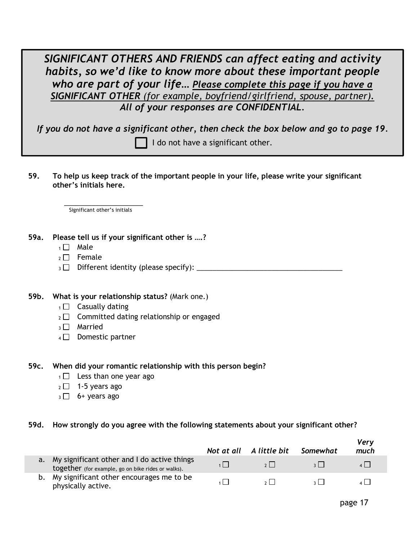*SIGNIFICANT OTHERS AND FRIENDS can affect eating and activity habits, so we'd like to know more about these important people who are part of your life… Please complete this page if you have a SIGNIFICANT OTHER (for example, boyfriend/girlfriend, spouse, partner). All of your responses are CONFIDENTIAL.*

*If you do not have a significant other, then check the box below and go to page 19.* I do not have a significant other.

**59. To help us keep track of the important people in your life, please write your significant other's initials here.** 

 $\overline{\phantom{a}}$  , which is a set of the set of the set of the set of the set of the set of the set of the set of the set of the set of the set of the set of the set of the set of the set of the set of the set of the set of th Significant other's initials

|  |  |  |  | 59a. Please tell us if your significant other is ? |  |  |
|--|--|--|--|----------------------------------------------------|--|--|
|--|--|--|--|----------------------------------------------------|--|--|

- $1 \square$  Male
- $2 \Box$  Female
- <sup>3</sup> Different identity (please specify): \_\_\_\_\_\_\_\_\_\_\_\_\_\_\_\_\_\_\_\_\_\_\_\_\_\_\_\_\_\_\_\_\_\_\_\_\_

#### **59b. What is your relationship status?** (Mark one.)

- $1 \Box$  Casually dating
- $_2 \square$  Committed dating relationship or engaged
- $_3$   $\Box$  Married
- $4 \Box$  Domestic partner
- **59c. When did your romantic relationship with this person begin?** 
	- $1 \Box$  Less than one year ago
	- $2 \square$  1-5 years ago
	- $3 \Box$  6+ years ago

#### **59d. How strongly do you agree with the following statements about your significant other?**

|                                                                                                      | Not at all A little bit | Somewhat | Very<br>much |
|------------------------------------------------------------------------------------------------------|-------------------------|----------|--------------|
| a. My significant other and I do active things<br>together (for example, go on bike rides or walks). | 2                       |          |              |
| b. My significant other encourages me to be<br>physically active.                                    | 2 <sup>1</sup>          |          |              |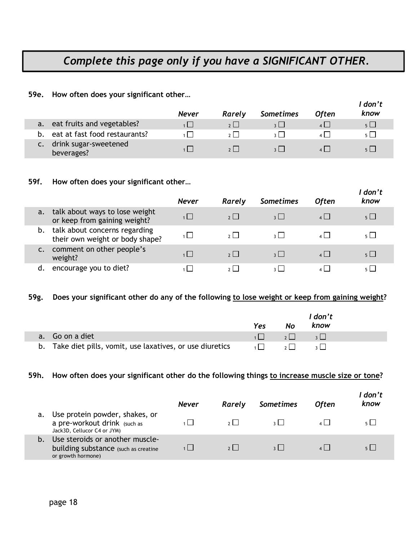## *Complete this page only if you have a SIGNIFICANT OTHER.*

#### **59e. How often does your significant other…**

|    |                                     | Never | Rarely         | <b>Sometimes</b> | <b>Often</b> | don't<br>know  |
|----|-------------------------------------|-------|----------------|------------------|--------------|----------------|
|    | a. eat fruits and vegetables?       |       | 2              |                  |              | 5 <sub>1</sub> |
| b. | eat at fast food restaurants?       |       | 2 <sup>1</sup> | 211              |              | $5 \mid$       |
|    | drink sugar-sweetened<br>beverages? |       | $2 \mid$       |                  |              | $5 \mid$       |

#### **59f. How often does your significant other…**

|    |                                                                  | <b>Never</b>   | Rarely         | <b>Sometimes</b> | <b>Often</b>    | don't<br>know |
|----|------------------------------------------------------------------|----------------|----------------|------------------|-----------------|---------------|
| a. | talk about ways to lose weight<br>or keep from gaining weight?   | $1 \mid$       | 2              |                  |                 | $5 \Box$      |
| b. | talk about concerns regarding<br>their own weight or body shape? | 1   I          | $2 \mid$       |                  | 4 I I           | $5 \mid$      |
|    | comment on other people's<br>weight?                             | $\overline{1}$ | 2              | $3 \mid$         | $\vert$ $\vert$ | $5 \mid$      |
| d. | encourage you to diet?                                           |                | 2 <sup>1</sup> |                  |                 | 5 L.          |

#### **59g. Does your significant other do any of the following to lose weight or keep from gaining weight?**

|                                                            | <b>Yes</b> | <b>No</b>     | I don't<br>know                  |  |
|------------------------------------------------------------|------------|---------------|----------------------------------|--|
| a. Go on a diet                                            |            |               | $\sqrt{1}$ $\sqrt{2}$ $\sqrt{3}$ |  |
| b. Take diet pills, vomit, use laxatives, or use diuretics | $1 \mid$   | $2 \mid \mid$ |                                  |  |

#### **59h. How often does your significant other do the following things to increase muscle size or tone?**

|    |                                                                                               | <b>Never</b> | Rarely | <b>Sometimes</b> | <b>Often</b> | I don't<br>know |
|----|-----------------------------------------------------------------------------------------------|--------------|--------|------------------|--------------|-----------------|
| a. | Use protein powder, shakes, or<br>a pre-workout drink (such as<br>Jack3D, Cellucor C4 or JYM) |              |        |                  |              |                 |
|    | Use steroids or another muscle-<br>building substance (such as creatine<br>or growth hormone) |              |        |                  |              | 5 <sup>1</sup>  |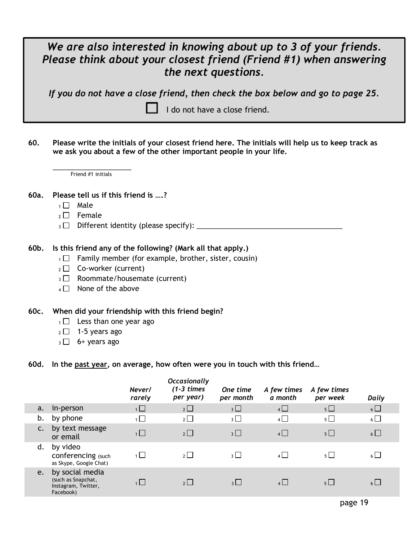## *We are also interested in knowing about up to 3 of your friends. Please think about your closest friend (Friend #1) when answering the next questions.*

*If you do not have a close friend, then check the box below and go to page 25.*

I do not have a close friend.

**60. Please write the initials of your closest friend here. The initials will help us to keep track as we ask you about a few of the other important people in your life.** 

\_\_\_\_\_\_\_\_\_\_\_\_\_\_\_\_\_\_\_\_ Friend #1 initials

#### **60a. Please tell us if this friend is ….?**

- $1 \square$  Male
- $2 \square$  Female
- <sup>3</sup> Different identity (please specify): \_\_\_\_\_\_\_\_\_\_\_\_\_\_\_\_\_\_\_\_\_\_\_\_\_\_\_\_\_\_\_\_\_\_\_\_\_

#### **60b. Is this friend any of the following? (Mark all that apply.)**

- $1 \Box$  Family member (for example, brother, sister, cousin)
- $2 \Box$  Co-worker (current)
- $3 \Box$  Roommate/housemate (current)
- $4 \Box$  None of the above

#### **60c. When did your friendship with this friend begin?**

- $1 \Box$  Less than one year ago
- $2 \square$  1-5 years ago
- $3 \Box$  6+ years ago
- **60d. In the past year, on average, how often were you in touch with this friend…**

|                |                                                                           | Never/<br>rarely | <b>Occasionally</b><br>$(1-3 \times 1)$<br>per year) | One time<br>per month | A few times<br>a month | A few times<br>per week | <b>Daily</b> |
|----------------|---------------------------------------------------------------------------|------------------|------------------------------------------------------|-----------------------|------------------------|-------------------------|--------------|
| a.             | in-person                                                                 | $\overline{1}$   | $2 \Box$                                             | 3                     | $4 \Box$               | $5\Box$                 | $6\Box$      |
| b.             | by phone                                                                  | $\overline{1}$   | $2\Box$                                              | $_3$ $\square$        | 4                      | $5\Box$                 | $6\Box$      |
| $\mathsf{C}$ . | by text message<br>or email                                               | $\overline{1}$   | $2\Box$                                              | $3\Box$               | $4\vert$               | $5\Box$                 | $6\Box$      |
| d.             | by video<br>conferencing (such<br>as Skype, Google Chat)                  | $\overline{1}$   | $2 \Box$                                             | 3 <sup>1</sup>        | $\overline{4}$         | $5\Box$                 | $6\Box$      |
| e.             | by social media<br>(such as Snapchat,<br>Instagram, Twitter,<br>Facebook) | $1 \Box$         | 2                                                    | 3                     | $4$                    | $5 \Box$                | $6$          |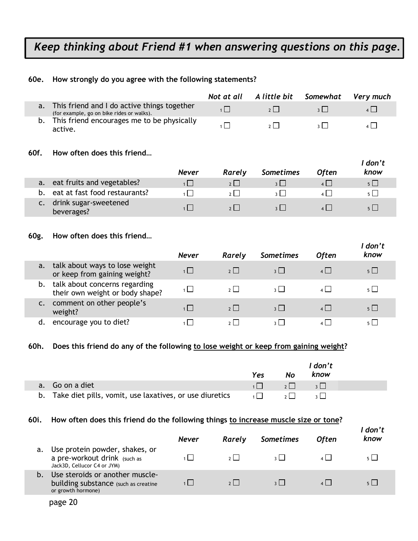## *Keep thinking about Friend #1 when answering questions on this page.*

#### **60e. How strongly do you agree with the following statements?**

|                                                                                             | Not at all | A little bit Somewhat | Verv much |
|---------------------------------------------------------------------------------------------|------------|-----------------------|-----------|
| a. This friend and I do active things together<br>(for example, go on bike rides or walks). |            |                       |           |
| b. This friend encourages me to be physically<br>active.                                    |            |                       |           |

#### **60f. How often does this friend…**

|    |                                     | <b>Never</b> | Rarely   | <b>Sometimes</b>        | <b>Often</b> | l don't<br>know |
|----|-------------------------------------|--------------|----------|-------------------------|--------------|-----------------|
|    | a. eat fruits and vegetables?       |              | 2        | $\overline{\mathbf{3}}$ | 4            | $5 \Box$        |
| b. | eat at fast food restaurants?       |              | $2 \mid$ |                         |              | $5\Box$         |
|    | drink sugar-sweetened<br>beverages? |              | 2        |                         |              | $5 \mid$        |

#### **60g. How often does this friend…**

|    |                                                                  | <b>Never</b> | Rarely   | <b>Sometimes</b>        | <b>Often</b>   | I don't<br>know |
|----|------------------------------------------------------------------|--------------|----------|-------------------------|----------------|-----------------|
| a. | talk about ways to lose weight<br>or keep from gaining weight?   | 1            | 2        | $\overline{\mathbf{3}}$ | $4$            | $5\Box$         |
| b. | talk about concerns regarding<br>their own weight or body shape? | $1 \mid$     | 2        |                         | $\mathbf{A}$   | $5\Box$         |
|    | comment on other people's<br>weight?                             | 1            | 2        | 3                       | $4$            | $5\Box$         |
| d. | encourage you to diet?                                           |              | $2 \mid$ |                         | $\overline{A}$ | 511             |

#### **60h. Does this friend do any of the following to lose weight or keep from gaining weight?**

|                                                            | Yes            | No.                   | l don't<br>know |
|------------------------------------------------------------|----------------|-----------------------|-----------------|
| a. Go on a diet                                            |                | $\sqrt{2}$ $\sqrt{2}$ |                 |
| b. Take diet pills, vomit, use laxatives, or use diuretics | $\overline{1}$ | $2 \Box$              |                 |

#### **60i. How often does this friend do the following things to increase muscle size or tone?**

|    |                                                                                               | Never | Rarely         | <b>Sometimes</b> | <b>Often</b> | don't<br>know |
|----|-----------------------------------------------------------------------------------------------|-------|----------------|------------------|--------------|---------------|
| a. | Use protein powder, shakes, or<br>a pre-workout drink (such as<br>Jack3D, Cellucor C4 or JYM) |       | 2 <sup>1</sup> | $2$              |              |               |
| b. | Use steroids or another muscle-<br>building substance (such as creatine<br>or growth hormone) |       | 2 <sup>1</sup> |                  |              |               |
|    |                                                                                               |       |                |                  |              |               |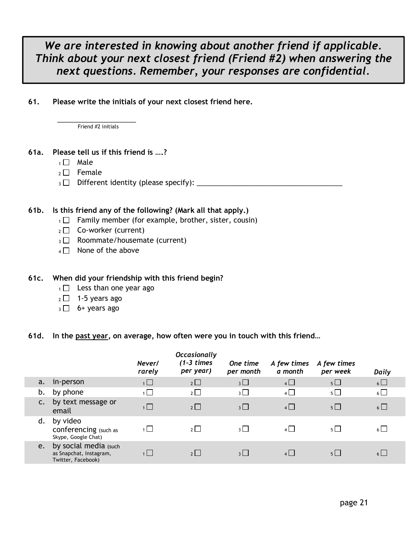## *We are interested in knowing about another friend if applicable. Think about your next closest friend (Friend #2) when answering the next questions. Remember, your responses are confidential.*

**61. Please write the initials of your next closest friend here.** 

\_\_\_\_\_\_\_\_\_\_\_\_\_\_\_\_\_\_\_\_ Friend #2 initials

#### **61a. Please tell us if this friend is ….?**

- $1 \square$  Male
- $2 \Box$  Female
- <sup>3</sup> Different identity (please specify): \_\_\_\_\_\_\_\_\_\_\_\_\_\_\_\_\_\_\_\_\_\_\_\_\_\_\_\_\_\_\_\_\_\_\_\_\_

#### **61b. Is this friend any of the following? (Mark all that apply.)**

- $1 \Box$  Family member (for example, brother, sister, cousin)
- $_2 \Box$  Co-worker (current)
- $_3 \square$  Roommate/housemate (current)
- $4 \Box$  None of the above

#### **61c. When did your friendship with this friend begin?**

- $1 \Box$  Less than one year ago
- $_2$  1 5 years ago
- $3 \Box$  6+ years ago

#### **61d. In the past year, on average, how often were you in touch with this friend…**

|    |                                                                        | Never/<br>rarely | <b>Occasionally</b><br>$(1-3 \times 1)$<br>per year) | One time<br>per month | A few times<br>a month | A few times<br>per week | <b>Daily</b> |
|----|------------------------------------------------------------------------|------------------|------------------------------------------------------|-----------------------|------------------------|-------------------------|--------------|
| a. | in-person                                                              | 1                | $2 \Box$                                             | $3\Box$               | $4\Box$                | $5\Box$                 | $6\Box$      |
| b. | by phone                                                               | $\overline{1}$   | 2                                                    | $3\Box$               | $4\Box$                | $5\Box$                 | $6\Box$      |
| C. | by text message or<br>email                                            | 1                | 2                                                    | $3\Box$               | $4\Box$                | $5\Box$                 | $6\Box$      |
| d. | by video<br><b>conferencing</b> (such as<br>Skype, Google Chat)        | 1                | 2                                                    | 3 <sup>1</sup>        | $4$                    | $5 \mid$                | $6 \Box$     |
| e. | by social media (such<br>as Snapchat, Instagram,<br>Twitter, Facebook) | $1 \mid$         | 2                                                    | 3 <sup>1</sup>        | $\mathbf{1}$           | $5 \mid$                | $6 \Box$     |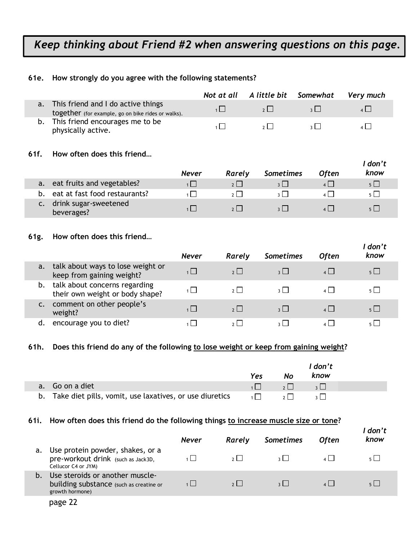## *Keep thinking about Friend #2 when answering questions on this page.*

#### **61e. How strongly do you agree with the following statements?**

|                                                                                             | Not at all A little bit Somewhat |               | Very much |
|---------------------------------------------------------------------------------------------|----------------------------------|---------------|-----------|
| a. This friend and I do active things<br>together (for example, go on bike rides or walks). | $2 \mid$                         | $\frac{1}{2}$ |           |
| b. This friend encourages me to be<br>physically active.                                    | 2                                |               |           |

#### **61f. How often does this friend…**

|                                     | <b>Never</b> | Rarely | <b>Sometimes</b> | <i><b>Often</b></i> | l don't<br>know |
|-------------------------------------|--------------|--------|------------------|---------------------|-----------------|
| eat fruits and vegetables?<br>a.    | 1 I          |        |                  |                     | $5 \mid$        |
| eat at fast food restaurants?<br>b. |              |        | 2 <sup>1</sup>   |                     |                 |
| drink sugar-sweetened<br>beverages? |              |        |                  |                     |                 |

#### **61g. How often does this friend…**

|                |                                                                  | <b>Never</b> | Rarely | <b>Sometimes</b> | <b>Often</b> | I don't<br>know |
|----------------|------------------------------------------------------------------|--------------|--------|------------------|--------------|-----------------|
| a.             | talk about ways to lose weight or<br>keep from gaining weight?   | $1\Box$      | 2      |                  | $4$          | $5 \Box$        |
| b.             | talk about concerns regarding<br>their own weight or body shape? | 1   I        | 2      |                  | $4 \mid$     | $5 \mid$        |
| $\mathsf{C}$ . | comment on other people's<br>weight?                             | 1            | 2      | $\mathbf{R}$     | $\mathbf{A}$ | $5\vert$        |
|                | encourage you to diet?                                           |              |        |                  |              |                 |

#### **61h. Does this friend do any of the following to lose weight or keep from gaining weight?**

|                                                            | <b>Yes</b>                                       | No.                                                 | l don't<br>know |
|------------------------------------------------------------|--------------------------------------------------|-----------------------------------------------------|-----------------|
| a. Go on a diet                                            |                                                  | $\overline{\phantom{a}}$ , $\overline{\phantom{a}}$ |                 |
| b. Take diet pills, vomit, use laxatives, or use diuretics | $\mathbb{Z} \times \mathbb{Z} \times \mathbb{Z}$ |                                                     |                 |

#### **61i. How often does this friend do the following things to increase muscle size or tone?**

|    |                                                                                               | <b>Never</b> | Rarely   | <b>Sometimes</b>        | <b>Often</b> | l don't<br>know |
|----|-----------------------------------------------------------------------------------------------|--------------|----------|-------------------------|--------------|-----------------|
| a. | Use protein powder, shakes, or a<br>pre-workout drink (such as Jack3D,<br>Cellucor C4 or JYM) |              | $2 \mid$ | $\overline{\mathbf{3}}$ |              | 5 L L           |
| b. | Use steroids or another muscle-<br>building substance (such as creatine or<br>growth hormone) | 1            | 2        |                         |              | $5 \mid$        |
|    | page 22                                                                                       |              |          |                         |              |                 |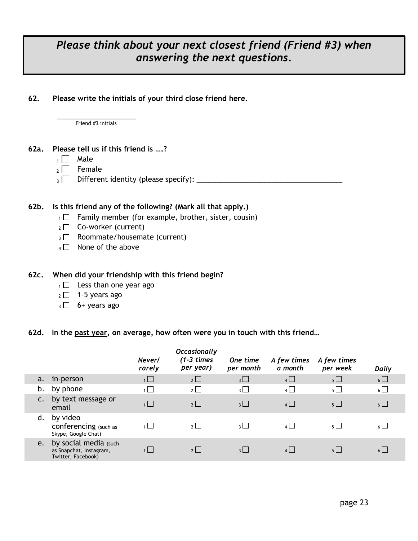## *Please think about your next closest friend (Friend #3) when answering the next questions.*

**62. Please write the initials of your third close friend here.** 

\_\_\_\_\_\_\_\_\_\_\_\_\_\_\_\_\_\_\_\_ Friend #3 initials

#### **62a. Please tell us if this friend is ….?**

- $1 \square$  Male
- $_2 \Box$  Female
- <sup>3</sup> Different identity (please specify): \_\_\_\_\_\_\_\_\_\_\_\_\_\_\_\_\_\_\_\_\_\_\_\_\_\_\_\_\_\_\_\_\_\_\_\_\_

#### **62b. Is this friend any of the following? (Mark all that apply.)**

- $1 \Box$  Family member (for example, brother, sister, cousin)
- $2 \Box$  Co-worker (current)
- $_3 \Box$  Roommate/housemate (current)
- $4 \Box$  None of the above

#### **62c. When did your friendship with this friend begin?**

- $1 \Box$  Less than one year ago
- $2 \square$  1-5 years ago
- $3 \Box$  6+ years ago

#### **62d. In the past year, on average, how often were you in touch with this friend…**

|                |                                                                        | Never/<br>rarely | <b>Occasionally</b><br>$(1-3 \times 1)$<br>per year) | One time<br>per month    | A few times<br>a month | A few times<br>per week | <b>Daily</b>         |
|----------------|------------------------------------------------------------------------|------------------|------------------------------------------------------|--------------------------|------------------------|-------------------------|----------------------|
| a.             | in-person                                                              | $\overline{1}$   | $2 \Box$                                             | $3\Box$                  | $4 \Box$               | $5 \Box$                | $6\Box$              |
| b.             | by phone                                                               | $\overline{1}$   | $2 \mid$                                             | $\overline{\mathcal{E}}$ | $\overline{4}$         | $5$                     | $6\Box$              |
| $\mathsf{C}$ . | by text message or<br>email                                            | $\overline{1}$   | 2                                                    | 3                        | $4$                    | $5$                     | $6 \Box$             |
| d.             | by video<br><b>conferencing</b> (such as<br>Skype, Google Chat)        | $\overline{1}$   | $2 \mid$                                             | $3 \mid$                 | $4$                    | $5 \mid$                | $6$   $\overline{ }$ |
| e.             | by social media (such<br>as Snapchat, Instagram,<br>Twitter, Facebook) | 1                | 2 <sup>1</sup>                                       | $3 \mid$                 | $\mathbf{1}$           | $5$                     | $6 \mid$             |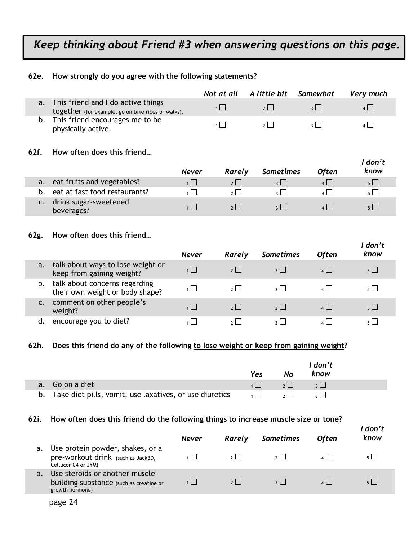## *Keep thinking about Friend #3 when answering questions on this page.*

#### **62e. How strongly do you agree with the following statements?**

|                                                                                             | Not at all A little bit Somewhat | Very much |
|---------------------------------------------------------------------------------------------|----------------------------------|-----------|
| a. This friend and I do active things<br>together (for example, go on bike rides or walks). | $2 \mid$                         |           |
| b. This friend encourages me to be<br>physically active.                                    | 2 <sup>1</sup>                   |           |

#### **62f. How often does this friend…**

|    |                                     | Never | Rarely | <b>Sometimes</b> | <b>Often</b> | ' don't<br>know |
|----|-------------------------------------|-------|--------|------------------|--------------|-----------------|
|    | a. eat fruits and vegetables?       | 1 I I | 2      |                  | 4 I          | $5 \Box$        |
| b. | eat at fast food restaurants?       |       | 2      |                  |              | $5 \mid$        |
|    | drink sugar-sweetened<br>beverages? |       |        |                  |              | $5 \mid$        |

#### **62g. How often does this friend…**

|    |                                                                  | <b>Never</b>   | Rarely   | <b>Sometimes</b> | <b>Often</b>    | l don't<br>know |
|----|------------------------------------------------------------------|----------------|----------|------------------|-----------------|-----------------|
| a. | talk about ways to lose weight or<br>keep from gaining weight?   | $\overline{1}$ | 2        | $\mathbf{R}$     | $\mathbf{A}$    | $5 \mid$        |
| b. | talk about concerns regarding<br>their own weight or body shape? | $1 \mid$       | $2 \mid$ | $3 \mid$         | $4 \mid$        | $5 \mid$        |
|    | comment on other people's<br>weight?                             | 1              | 2        | $\vert$ $\vert$  | $\vert$ $\vert$ | $5$             |
| d. | encourage you to diet?                                           |                | 2        |                  | $\mathbf{A}$    | $5 \mid$        |

#### **62h. Does this friend do any of the following to lose weight or keep from gaining weight?**

|                                                            | <b>Yes</b>                                                    | No            | l don't<br>know |
|------------------------------------------------------------|---------------------------------------------------------------|---------------|-----------------|
| a. Go on a diet                                            | $\nabla_1$ , $\nabla_2$                                       | $\frac{1}{2}$ |                 |
| b. Take diet pills, vomit, use laxatives, or use diuretics | $\begin{array}{ccc} & & 1 & \ \hline & & & 2 & \ \end{array}$ |               |                 |

#### **62i. How often does this friend do the following things to increase muscle size or tone?**

|    |                                                                                               | <b>Never</b> | Rarely         | <b>Sometimes</b> | <b>Often</b> | ' don't<br>know |
|----|-----------------------------------------------------------------------------------------------|--------------|----------------|------------------|--------------|-----------------|
| a. | Use protein powder, shakes, or a<br>pre-workout drink (such as Jack3D,<br>Cellucor C4 or JYM) |              | 2 <sup>1</sup> |                  |              |                 |
| b. | Use steroids or another muscle-<br>building substance (such as creatine or<br>growth hormone) |              |                |                  |              |                 |
|    |                                                                                               |              |                |                  |              |                 |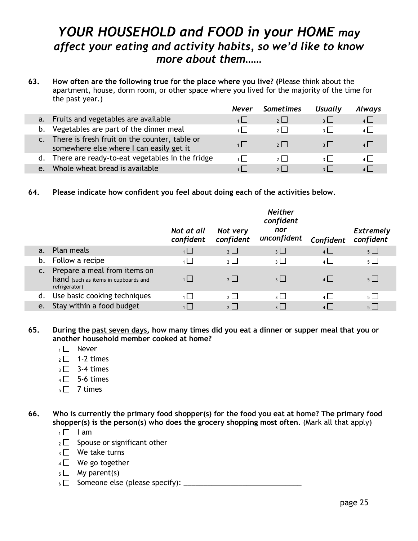## *YOUR HOUSEHOLD and FOOD in your HOME may affect your eating and activity habits, so we'd like to know more about them……*

**63. How often are the following true for the place where you live? (**Please think about the apartment, house, dorm room, or other space where you lived for the majority of the time for the past year.)

|       |                                                                                              | <b>Never</b> | <b>Sometimes</b>  | <b>Usually</b>          | Always         |
|-------|----------------------------------------------------------------------------------------------|--------------|-------------------|-------------------------|----------------|
| $-a.$ | Fruits and vegetables are available                                                          | 1 I          | 2                 | $3 \mid$                | $4$            |
| b.    | Vegetables are part of the dinner meal                                                       | 1 L L        | 2 <sup>1</sup>    | $2$                     | $\mathbf{A}$   |
|       | c. There is fresh fruit on the counter, table or<br>somewhere else where I can easily get it | $1 \mid$     | 2                 | $\overline{\mathbf{z}}$ | $\mathbf{A}$   |
| d.    | There are ready-to-eat vegetables in the fridge                                              |              | $2^{\frac{1}{2}}$ | $2$                     | $\overline{4}$ |
| e.    | Whole wheat bread is available                                                               | 1 I I        | 2 <sup>1</sup>    | 2 <sup>1</sup>          |                |
|       |                                                                                              |              |                   |                         |                |

**64. Please indicate how confident you feel about doing each of the activities below.** 

|    |                                                                                       | Not at all<br>confident | Not very<br>confident | <b>Neither</b><br>confident<br>nor<br>unconfident | Confident      | <b>Extremely</b><br>confident |
|----|---------------------------------------------------------------------------------------|-------------------------|-----------------------|---------------------------------------------------|----------------|-------------------------------|
| a. | Plan meals                                                                            | $1 \Box$                | $2 \Box$              | $3 \mid$                                          | $4 \Box$       | $5\Box$                       |
| b. | Follow a recipe                                                                       | 1 I                     | 2                     | $\frac{1}{2}$                                     | $\overline{4}$ | $5\Box$                       |
|    | Prepare a meal from items on<br>hand (such as items in cupboards and<br>refrigerator) | $1 \mid$                | 2                     | $3 \mid$                                          | $4$            | $5\Box$                       |
| d. | Use basic cooking techniques                                                          | $\blacksquare$          | 2                     | 3 <sup>1</sup>                                    | $\overline{4}$ | $5\Box$                       |
| e. | Stay within a food budget                                                             |                         | 2 <sup>1</sup>        | $\overline{\mathcal{E}}$                          | $\vert$        | $5\Box$                       |

**65. During the past seven days, how many times did you eat a dinner or supper meal that you or another household member cooked at home?**

 $1 \square$  Never

ı

- $2 \square$  1-2 times
- $_3$   $\Box$  3-4 times
- $4 \square$  5-6 times
- $5 \square$  7 times

**66. Who is currently the primary food shopper(s) for the food you eat at home? The primary food shopper(s) is the person(s) who does the grocery shopping most often.** (Mark all that apply)

- $1 \square$  lam
- $2 \Box$  Spouse or significant other
- $_3\Box$  We take turns
- $4 \Box$  We go together
- $5 \square$  My parent(s)
- <sup>6</sup> Someone else (please specify): \_\_\_\_\_\_\_\_\_\_\_\_\_\_\_\_\_\_\_\_\_\_\_\_\_\_\_\_\_\_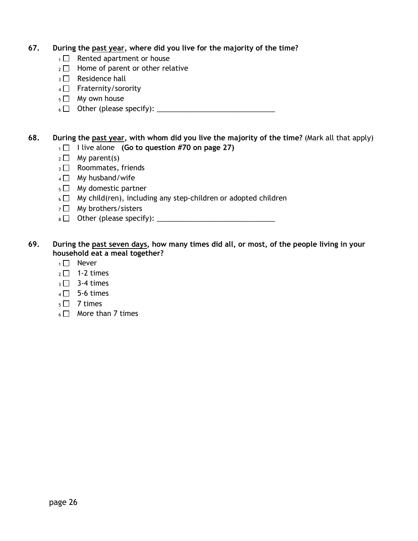#### **67. During the past year, where did you live for the majority of the time?**

- 1<sup>1</sup> Rented apartment or house
- $2 \Box$  Home of parent or other relative
- $_3$   $\Box$  Residence hall
- $4 \Box$  Fraternity/sorority
- $5 \Box$  My own house
- <sup>6</sup> Other (please specify): \_\_\_\_\_\_\_\_\_\_\_\_\_\_\_\_\_\_\_\_\_\_\_\_\_\_\_\_\_\_

#### **68. During the past year, with whom did you live the majority of the time?** (Mark all that apply)

- <sup>1</sup> I live alone **(Go to question #70 on page 27)**
- $_2 \square$  My parent(s)
- $_3$   $\Box$  Roommates, friends
- $4 \Box$  My husband/wife
- $5 \Box$  My domestic partner
- $6 \Box$  My child(ren), including any step-children or adopted children
- $7 \Box$  My brothers/sisters
- <sup>8</sup> Other (please specify): \_\_\_\_\_\_\_\_\_\_\_\_\_\_\_\_\_\_\_\_\_\_\_\_\_\_\_\_\_\_

#### **69. During the past seven days, how many times did all, or most, of the people living in your household eat a meal together?**

- $1 \square$  Never
- $_2 \square$  1-2 times
- $3 3 4$  times
- $4 \Box$  5-6 times
- $5 \square$  7 times
- $6 \Box$  More than 7 times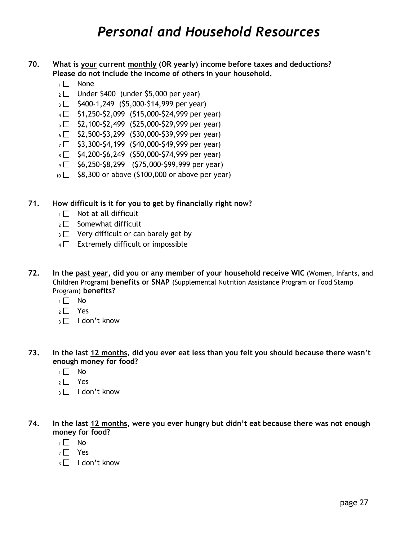## *Personal and Household Resources*

#### **70. What is your current monthly (OR yearly) income before taxes and deductions? Please do not include the income of others in your household.**

- $1 \square$  None
- $_2 \square$  Under \$400 (under \$5,000 per year)
- $3 \Box$  \$400-1,249 (\$5,000-\$14,999 per year)
- $4 \Box$  \$1,250-\$2,099 (\$15,000-\$24,999 per year)
- $5 \Box$  \$2,100-\$2,499 (\$25,000-\$29,999 per year)
- $6 \Box$  \$2,500-\$3,299 (\$30,000-\$39,999 per year)
- $7 \square$  \$3,300-\$4,199 (\$40,000-\$49,999 per year)
- $8 \square$  \$4,200-\$6,249 (\$50,000-\$74,999 per year)
- $9 \Box$  \$6,250-\$8,299 (\$75,000-\$99,999 per year)
- $10 \Box$  \$8,300 or above (\$100,000 or above per year)
- **71. How difficult is it for you to get by financially right now?**
	- $1 \cap$  Not at all difficult
	- $2 \cap$  Somewhat difficult
	- $3 \Box$  Very difficult or can barely get by
	- $4 \Box$  Extremely difficult or impossible
- **72. In the past year, did you or any member of your household receive WIC** (Women, Infants, and Children Program) **benefits or SNAP** (Supplemental Nutrition Assistance Program or Food Stamp Program) **benefits?** 
	- $1 \square$  No
	- $2 \Box$  Yes
	- <sup>3</sup> □ I don't know
- **73. In the last 12 months, did you ever eat less than you felt you should because there wasn't enough money for food?**
	- $1 \square$  No
	- $2 \Box$  Yes
	- $_3$   $\Box$  I don't know
- **74. In the last 12 months, were you ever hungry but didn't eat because there was not enough money for food?**
	- $1 \square$  No
	- $2 \Box$  Yes
	- 3 I don't know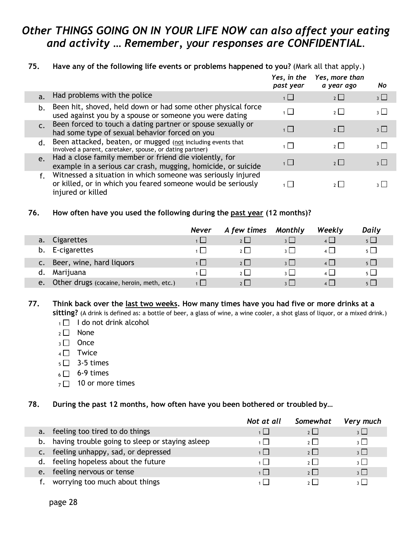## *Other THINGS GOING ON IN YOUR LIFE NOW can also affect your eating and activity … Remember, your responses are CONFIDENTIAL.*

#### **75. Have any of the following life events or problems happened to you?** (Mark all that apply.)

|                |                                                                                                                                                   | Yes, in the<br>past year | Yes, more than<br>a year ago | <b>No</b>       |
|----------------|---------------------------------------------------------------------------------------------------------------------------------------------------|--------------------------|------------------------------|-----------------|
| a.             | Had problems with the police                                                                                                                      | $1 \Box$                 | 2                            | $3 \Box$        |
| b.             | Been hit, shoved, held down or had some other physical force<br>used against you by a spouse or someone you were dating                           | $\blacksquare$           | 2 <sup>1</sup>               | $\vert$ $\vert$ |
| $\mathsf{C}$ . | Been forced to touch a dating partner or spouse sexually or<br>had some type of sexual behavior forced on you                                     | 1                        | 2                            | $3 \mid$        |
| $\mathsf{d}$ . | Been attacked, beaten, or mugged (not including events that<br>involved a parent, caretaker, spouse, or dating partner)                           |                          | $2^{\frac{1}{2}}$            | $\frac{1}{2}$   |
| $\mathsf{e}$ . | Had a close family member or friend die violently, for<br>example in a serious car crash, mugging, homicide, or suicide                           | $1\Box$                  | 2                            | $\frac{1}{2}$   |
|                | Witnessed a situation in which someone was seriously injured<br>or killed, or in which you feared someone would be seriously<br>injured or killed |                          |                              |                 |

#### **76. How often have you used the following during the past year (12 months)?**

|                                                 | <b>Never</b> | A few times    | Monthly                 | Weekly | <b>Daily</b>   |
|-------------------------------------------------|--------------|----------------|-------------------------|--------|----------------|
| Cigarettes<br>a.                                |              |                | $3 \mid$                |        | $5\Box$        |
| b. E-cigarettes                                 |              | 2 <sup>1</sup> | 2 <sup>1</sup>          |        | 5 <sup>1</sup> |
| Beer, wine, hard liquors                        |              | 2 <sup>1</sup> | 3                       |        | 5 <sup>1</sup> |
| Marijuana<br>а.                                 |              | 2 <sup>1</sup> | $\overline{\mathbf{3}}$ |        | $5\sqrt{ }$    |
| Other drugs (cocaine, heroin, meth, etc.)<br>e. |              | 2 <sup>1</sup> | $\mathbf{3}$            |        | $5\sqrt{ }$    |

#### **77. Think back over the last two weeks. How many times have you had five or more drinks at a**

**sitting?** (A drink is defined as: a bottle of beer, a glass of wine, a wine cooler, a shot glass of liquor, or a mixed drink.)  $1 \Box$  I do not drink alcohol

- $_2 \square$  None
- $_3$   $\Box$  Once
- $4 \Box$  Twice
- $5 \square$  3-5 times
- $6 9$  times
- $7 \square$  10 or more times

#### **78. During the past 12 months, how often have you been bothered or troubled by…**

|                |                                                 | Not at all | Somewhat       | Very much |
|----------------|-------------------------------------------------|------------|----------------|-----------|
| a.             | feeling too tired to do things                  |            | 2 <sup>1</sup> |           |
| b.             | having trouble going to sleep or staying asleep |            | 2              | 3 I I     |
| $\mathsf{C}$ . | feeling unhappy, sad, or depressed              | 1 I I      | 2              | $3 \mid$  |
| d.             | feeling hopeless about the future               |            | 2 <sup>1</sup> | $2 \mid$  |
| e.             | feeling nervous or tense                        |            | 2 <sup>1</sup> | $3 \mid$  |
|                | worrying too much about things                  |            | $\sim$ 1       |           |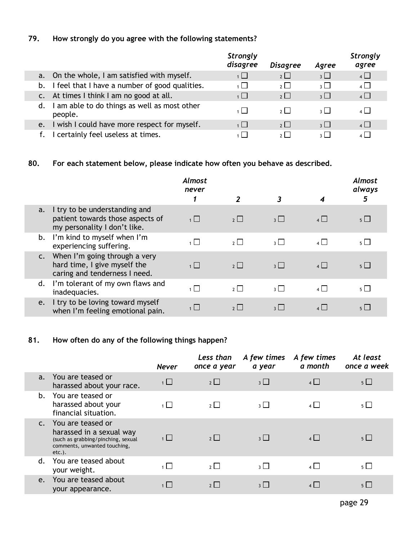#### **79. How strongly do you agree with the following statements?**

|    |                                                       | <b>Strongly</b><br>disagree | <b>Disagree</b> | Agree                    | <b>Strongly</b><br>agree |
|----|-------------------------------------------------------|-----------------------------|-----------------|--------------------------|--------------------------|
|    | a. On the whole, I am satisfied with myself.          | $1$                         | $2\Box$         | $\overline{3}$           | $\overline{4}$           |
| b. | I feel that I have a number of good qualities.        | $\overline{1}$              | $2\Box$         | $_3$ $\Box$              | $\overline{4}$           |
|    | At times I think I am no good at all.                 | 1                           | $2\Box$         | $\overline{3}$           | $4\Box$                  |
| d. | am able to do things as well as most other<br>people. | $1 \mid$                    | 2 <sup>1</sup>  | $\overline{\mathcal{E}}$ | $\overline{4}$           |
| e. | I wish I could have more respect for myself.          | $1 \mid$                    | $2 \Box$        | $3 \Box$                 | $4\Box$                  |
|    | certainly feel useless at times.                      |                             |                 | $\overline{\mathcal{E}}$ | $\overline{4}$           |

#### **80. For each statement below, please indicate how often you behave as described.**

|                |                                                                                                   | <b>Almost</b><br>never |                |                |         | <b>Almost</b><br>always |
|----------------|---------------------------------------------------------------------------------------------------|------------------------|----------------|----------------|---------|-------------------------|
|                |                                                                                                   |                        |                | 3              |         | 5                       |
| a.             | I try to be understanding and<br>patient towards those aspects of<br>my personality I don't like. | $\overline{1}$         | $2 \Box$       | $3\Box$        | $4\Box$ | $5\Box$                 |
| b.             | I'm kind to myself when I'm<br>experiencing suffering.                                            | $\overline{1}$         | $2\Box$        | 3 <sup>1</sup> | $4\Box$ | 5 <sup>1</sup>          |
| $\mathsf{C}$ . | When I'm going through a very<br>hard time, I give myself the<br>caring and tenderness I need.    | $\overline{1}$         | $2\Box$        | $3\Box$        | $4\Box$ | $5\Box$                 |
| d.             | I'm tolerant of my own flaws and<br>inadequacies.                                                 | $1 \Box$               | 2              | $\overline{3}$ | $4\Box$ | $5\Box$                 |
| e.             | I try to be loving toward myself<br>when I'm feeling emotional pain.                              | 1                      | 2 <sup>1</sup> | 3              |         | 5 <sup>1</sup>          |

#### **81. How often do any of the following things happen?**

|                |                                                                                                                                  | <b>Never</b>   | Less than<br>once a year | A few times<br>a year | A few times<br>a month | At least<br>once a week |
|----------------|----------------------------------------------------------------------------------------------------------------------------------|----------------|--------------------------|-----------------------|------------------------|-------------------------|
| a.             | You are teased or<br>harassed about your race.                                                                                   | $1\Box$        | $2\Box$                  | $3 \mid$              | $4 \Box$               | $5 \Box$                |
| b.             | You are teased or<br>harassed about your<br>financial situation.                                                                 | 1              | $2\Box$                  | $3 \mid$              | $4\Box$                | $5 \mid$                |
|                | You are teased or<br>harassed in a sexual way<br>(such as grabbing/pinching, sexual<br>comments, unwanted touching,<br>$etc.$ ). | 1              | $2$                      | 3                     | $\vert$ $\vert$        | $5$                     |
| $d_{\cdot}$    | You are teased about<br>your weight.                                                                                             | $\overline{1}$ | $2\Box$                  | $3\Box$               | $4$                    | $5 \mid$                |
| e <sub>1</sub> | You are teased about<br>your appearance.                                                                                         | $1 \mid$       | 2                        | 3                     | 4                      | 5 <sup>1</sup>          |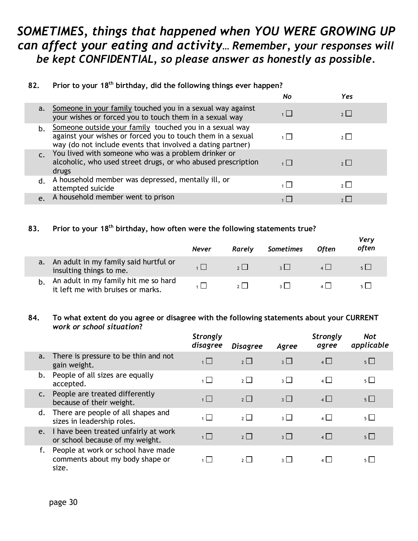## *SOMETIMES, things that happened when YOU WERE GROWING UP can affect your eating and activity… Remember, your responses will be kept CONFIDENTIAL, so please answer as honestly as possible.*

## **82. Prior to your 18th birthday, did the following things ever happen?**

|              |                                                                                                                                                                                      | No | Yes      |
|--------------|--------------------------------------------------------------------------------------------------------------------------------------------------------------------------------------|----|----------|
| a.           | Someone in your family touched you in a sexual way against<br>your wishes or forced you to touch them in a sexual way                                                                |    | 2        |
|              | Someone outside your family touched you in a sexual way<br>against your wishes or forced you to touch them in a sexual<br>way (do not include events that involved a dating partner) |    |          |
|              | You lived with someone who was a problem drinker or<br>alcoholic, who used street drugs, or who abused prescription<br>drugs                                                         |    | $2 \mid$ |
| d.           | A household member was depressed, mentally ill, or<br>attempted suicide                                                                                                              |    |          |
| $\mathsf{P}$ | A household member went to prison                                                                                                                                                    |    |          |

### **83. Prior to your 18th birthday, how often were the following statements true?**

|                                                                           | Never | Rarely         | <b>Sometimes</b> | <b>Often</b> | <b>Very</b><br>often |
|---------------------------------------------------------------------------|-------|----------------|------------------|--------------|----------------------|
| An adult in my family said hurtful or<br>insulting things to me.          |       | 2              | $\mathbf{R}$     |              |                      |
| An adult in my family hit me so hard<br>it left me with bruises or marks. |       | 2 <sup>1</sup> | 2 <sup>1</sup>   |              |                      |

#### **84. To what extent do you agree or disagree with the following statements about your CURRENT**  *work or school situation***?**

|                |                                                                                | <b>Strongly</b><br>disagree | <b>Disagree</b> | Agree                    | <b>Strongly</b><br>agree | <b>Not</b><br>applicable |
|----------------|--------------------------------------------------------------------------------|-----------------------------|-----------------|--------------------------|--------------------------|--------------------------|
| a.             | There is pressure to be thin and not<br>gain weight.                           | $\overline{1}$              | $2 \Box$        | 3 <sup>1</sup>           | $4\sqrt{ }$              | $5\Box$                  |
| b.             | People of all sizes are equally<br>accepted.                                   | $1 \Box$                    | $2 \Box$        | 3 <sup>1</sup>           | $4$                      | $5\Box$                  |
| $\mathsf{C}$ . | People are treated differently<br>because of their weight.                     | $1 \Box$                    | $2 \Box$        | 3 <sup>1</sup>           | $4\Box$                  | $5\Box$                  |
| d.             | There are people of all shapes and<br>sizes in leadership roles.               | $\overline{1}$              | $2\Box$         | 3 <sup>1</sup>           | $\overline{4}$           | $5\Box$                  |
| e.             | I have been treated unfairly at work<br>or school because of my weight.        | $\overline{1}$              | $2 \Box$        | 3 <sup>1</sup>           | 4                        | $5\Box$                  |
|                | People at work or school have made<br>comments about my body shape or<br>size. | 1 I I                       | 2               | $\overline{\mathcal{E}}$ | $\overline{4}$           | $5\Box$                  |